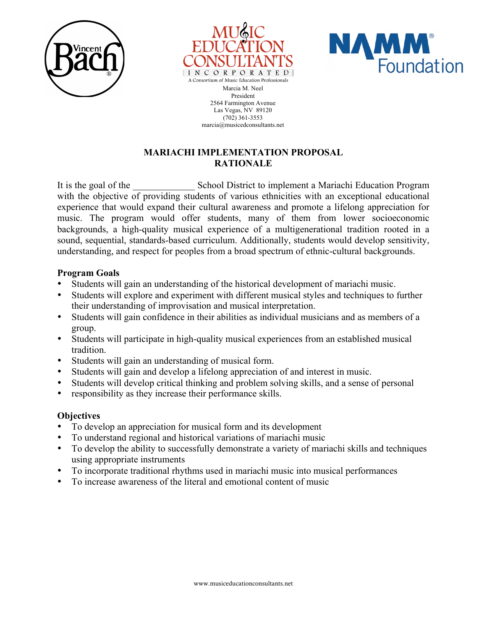





Marcia M. Neel President 2564 Farmington Avenue Las Vegas, NV 89120 (702) 361-3553 marcia@musicedconsultants.net

## **MARIACHI IMPLEMENTATION PROPOSAL RATIONALE**

It is the goal of the School District to implement a Mariachi Education Program with the objective of providing students of various ethnicities with an exceptional educational experience that would expand their cultural awareness and promote a lifelong appreciation for music. The program would offer students, many of them from lower socioeconomic backgrounds, a high-quality musical experience of a multigenerational tradition rooted in a sound, sequential, standards-based curriculum. Additionally, students would develop sensitivity, understanding, and respect for peoples from a broad spectrum of ethnic-cultural backgrounds.

## **Program Goals**

- Students will gain an understanding of the historical development of mariachi music.
- Students will explore and experiment with different musical styles and techniques to further their understanding of improvisation and musical interpretation.
- Students will gain confidence in their abilities as individual musicians and as members of a group.
- Students will participate in high-quality musical experiences from an established musical tradition.
- Students will gain an understanding of musical form.
- Students will gain and develop a lifelong appreciation of and interest in music.
- Students will develop critical thinking and problem solving skills, and a sense of personal
- responsibility as they increase their performance skills.

## **Objectives**

- To develop an appreciation for musical form and its development
- To understand regional and historical variations of mariachi music
- To develop the ability to successfully demonstrate a variety of mariachi skills and techniques using appropriate instruments
- To incorporate traditional rhythms used in mariachi music into musical performances
- To increase awareness of the literal and emotional content of music